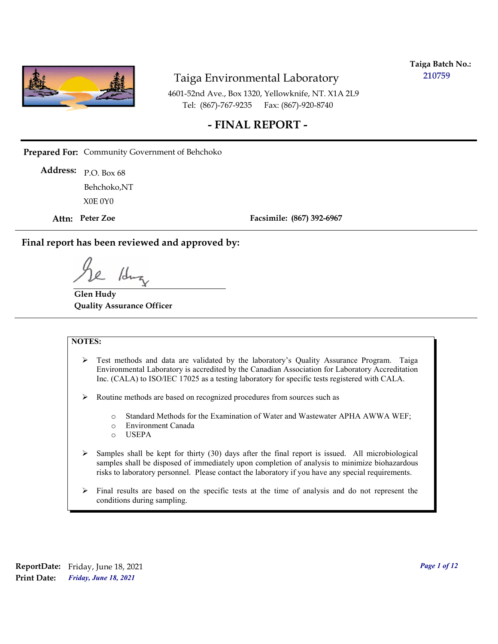

**Taiga Batch No.: 210759**

4601-52nd Ave., Box 1320, Yellowknife, NT. X1A 2L9 Tel: (867)-767-9235 Fax: (867)-920-8740

### **- FINAL REPORT -**

**Prepared For:** Community Government of Behchoko

P.O. Box 68 **Address:** X0E 0Y0 Behchoko,NT

**Attn: Peter Zoe**

**Facsimile: (867) 392-6967**

**Final report has been reviewed and approved by:**

/dr

**Glen Hudy Quality Assurance Officer**

#### **NOTES:**

- $\triangleright$  Test methods and data are validated by the laboratory's Quality Assurance Program. Taiga Environmental Laboratory is accredited by the Canadian Association for Laboratory Accreditation Inc. (CALA) to ISO/IEC 17025 as a testing laboratory for specific tests registered with CALA.
- Routine methods are based on recognized procedures from sources such as
	- o Standard Methods for the Examination of Water and Wastewater APHA AWWA WEF;
	- o Environment Canada
	- o USEPA
- $\triangleright$  Samples shall be kept for thirty (30) days after the final report is issued. All microbiological samples shall be disposed of immediately upon completion of analysis to minimize biohazardous risks to laboratory personnel. Please contact the laboratory if you have any special requirements.
- $\triangleright$  Final results are based on the specific tests at the time of analysis and do not represent the conditions during sampling.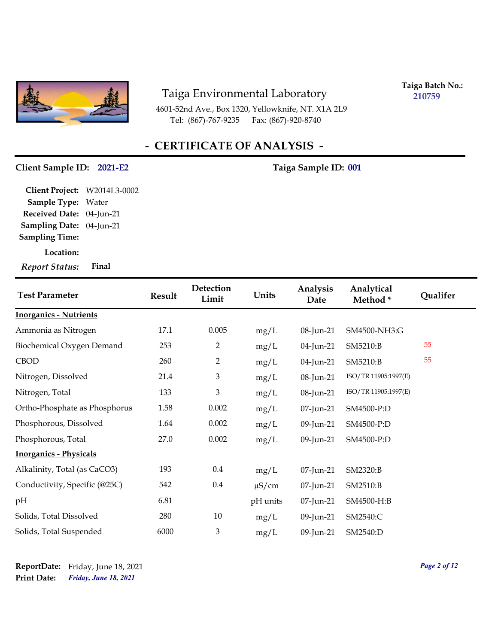

4601-52nd Ave., Box 1320, Yellowknife, NT. X1A 2L9 Tel: (867)-767-9235 Fax: (867)-920-8740

**Taiga Batch No.: 210759**

# **- CERTIFICATE OF ANALYSIS -**

#### Client Sample ID: 2021-E2 Taiga Sample ID: 001

**Location: Sampling Date:** 04-Jun-21 **Received Date:** 04-Jun-21 **Client Project:** W2014L3-0002 **Sample Type:** Water **Sampling Time:**

*Report Status:* **Final**

| <b>Test Parameter</b>         | <b>Result</b> | Detection<br>Limit | Units      | Analysis<br>Date | Analytical<br>Method* | Qualifer |
|-------------------------------|---------------|--------------------|------------|------------------|-----------------------|----------|
| <b>Inorganics - Nutrients</b> |               |                    |            |                  |                       |          |
| Ammonia as Nitrogen           | 17.1          | 0.005              | mg/L       | 08-Jun-21        | SM4500-NH3:G          |          |
| Biochemical Oxygen Demand     | 253           | $\overline{2}$     | mg/L       | 04-Jun-21        | SM5210:B              | 55       |
| <b>CBOD</b>                   | 260           | $\overline{2}$     | mg/L       | 04-Jun-21        | SM5210:B              | 55       |
| Nitrogen, Dissolved           | 21.4          | $\mathfrak{Z}$     | mg/L       | 08-Jun-21        | ISO/TR 11905:1997(E)  |          |
| Nitrogen, Total               | 133           | $\mathfrak{Z}$     | mg/L       | 08-Jun-21        | ISO/TR 11905:1997(E)  |          |
| Ortho-Phosphate as Phosphorus | 1.58          | 0.002              | mg/L       | 07-Jun-21        | SM4500-P:D            |          |
| Phosphorous, Dissolved        | 1.64          | 0.002              | mg/L       | 09-Jun-21        | SM4500-P:D            |          |
| Phosphorous, Total            | 27.0          | 0.002              | mg/L       | 09-Jun-21        | SM4500-P:D            |          |
| <b>Inorganics - Physicals</b> |               |                    |            |                  |                       |          |
| Alkalinity, Total (as CaCO3)  | 193           | $0.4\,$            | mg/L       | 07-Jun-21        | SM2320:B              |          |
| Conductivity, Specific (@25C) | 542           | $0.4\,$            | $\mu$ S/cm | 07-Jun-21        | SM2510:B              |          |
| pH                            | 6.81          |                    | pH units   | 07-Jun-21        | SM4500-H:B            |          |
| Solids, Total Dissolved       | 280           | 10                 | mg/L       | 09-Jun-21        | SM2540:C              |          |
| Solids, Total Suspended       | 6000          | $\mathfrak{Z}$     | mg/L       | 09-Jun-21        | SM2540:D              |          |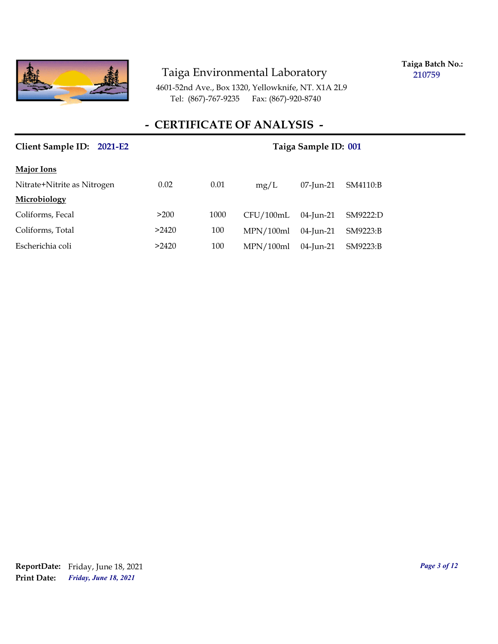

**Taiga Batch No.: 210759**

4601-52nd Ave., Box 1320, Yellowknife, NT. X1A 2L9 Tel: (867)-767-9235 Fax: (867)-920-8740

### **- CERTIFICATE OF ANALYSIS -**

| Client Sample ID: 2021-E2   | Taiga Sample ID: 001 |      |           |              |          |
|-----------------------------|----------------------|------|-----------|--------------|----------|
| <b>Major Ions</b>           |                      |      |           |              |          |
| Nitrate+Nitrite as Nitrogen | 0.02                 | 0.01 | mg/L      | $07$ -Jun-21 | SM4110:B |
| Microbiology                |                      |      |           |              |          |
| Coliforms, Fecal            | >200                 | 1000 | CFU/100mL | $04$ -Jun-21 | SM9222:D |
| Coliforms, Total            | >2420                | 100  | MPN/100ml | $04$ -Jun-21 | SM9223:B |
| Escherichia coli            | >2420                | 100  | MPN/100ml | 04-Jun-21    | SM9223:B |

*Friday, June 18, 2021* **Print Date: ReportDate:** Friday, June 18, 2021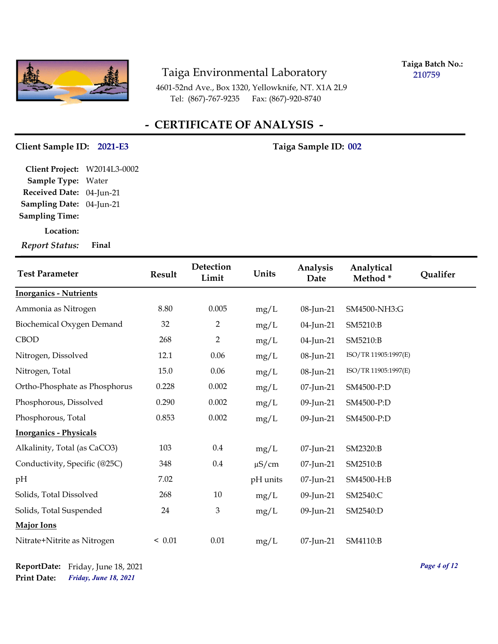

**Taiga Batch No.: 210759**

4601-52nd Ave., Box 1320, Yellowknife, NT. X1A 2L9 Tel: (867)-767-9235 Fax: (867)-920-8740

### **- CERTIFICATE OF ANALYSIS -**

#### Client Sample ID: 2021-E3 Taiga Sample ID: 002

**Sampling Date:** 04-Jun-21 **Received Date:** 04-Jun-21 **Client Project:** W2014L3-0002 **Sample Type:** Water **Sampling Time:**

**Location:**

*Report Status:* **Final**

| <b>Test Parameter</b>         | Result | Detection<br>Limit        | Units      | Analysis<br>Date | Analytical<br>Method* | Qualifer |
|-------------------------------|--------|---------------------------|------------|------------------|-----------------------|----------|
| <b>Inorganics - Nutrients</b> |        |                           |            |                  |                       |          |
| Ammonia as Nitrogen           | 8.80   | 0.005                     | mg/L       | 08-Jun-21        | SM4500-NH3:G          |          |
| Biochemical Oxygen Demand     | 32     | $\overline{2}$            | mg/L       | 04-Jun-21        | SM5210:B              |          |
| <b>CBOD</b>                   | 268    | $\overline{2}$            | mg/L       | 04-Jun-21        | SM5210:B              |          |
| Nitrogen, Dissolved           | 12.1   | 0.06                      | mg/L       | 08-Jun-21        | ISO/TR 11905:1997(E)  |          |
| Nitrogen, Total               | 15.0   | 0.06                      | mg/L       | 08-Jun-21        | ISO/TR 11905:1997(E)  |          |
| Ortho-Phosphate as Phosphorus | 0.228  | 0.002                     | mg/L       | 07-Jun-21        | SM4500-P:D            |          |
| Phosphorous, Dissolved        | 0.290  | 0.002                     | mg/L       | 09-Jun-21        | SM4500-P:D            |          |
| Phosphorous, Total            | 0.853  | 0.002                     | mg/L       | 09-Jun-21        | SM4500-P:D            |          |
| <b>Inorganics - Physicals</b> |        |                           |            |                  |                       |          |
| Alkalinity, Total (as CaCO3)  | 103    | 0.4                       | mg/L       | 07-Jun-21        | SM2320:B              |          |
| Conductivity, Specific (@25C) | 348    | $0.4\,$                   | $\mu$ S/cm | 07-Jun-21        | SM2510:B              |          |
| pH                            | 7.02   |                           | pH units   | 07-Jun-21        | SM4500-H:B            |          |
| Solids, Total Dissolved       | 268    | 10                        | mg/L       | 09-Jun-21        | SM2540:C              |          |
| Solids, Total Suspended       | 24     | $\boldsymbol{\mathrm{3}}$ | mg/L       | 09-Jun-21        | SM2540:D              |          |
| Major Ions                    |        |                           |            |                  |                       |          |
| Nitrate+Nitrite as Nitrogen   | < 0.01 | 0.01                      | mg/L       | 07-Jun-21        | SM4110:B              |          |

*Friday, June 18, 2021* **Print Date: ReportDate:** Friday, June 18, 2021 *Page 4 of 12*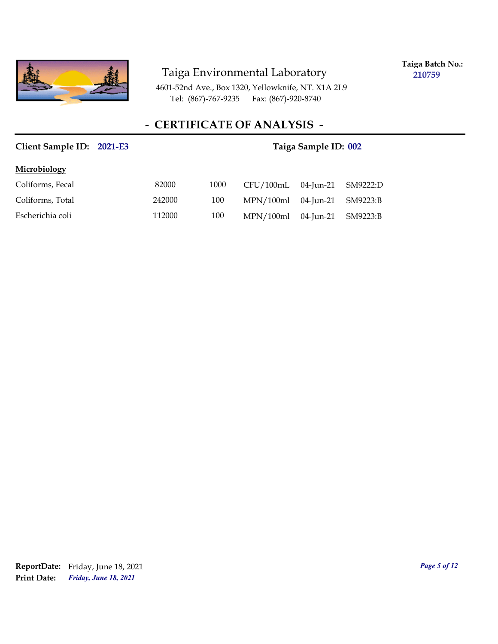

**Taiga Batch No.: 210759**

4601-52nd Ave., Box 1320, Yellowknife, NT. X1A 2L9 Tel: (867)-767-9235 Fax: (867)-920-8740

| Client Sample ID: 2021-E3 |        | Taiga Sample ID: 002 |           |           |          |
|---------------------------|--------|----------------------|-----------|-----------|----------|
| Microbiology              |        |                      |           |           |          |
| Coliforms, Fecal          | 82000  | 1000                 | CFU/100mL | 04-Jun-21 | SM9222:D |
| Coliforms, Total          | 242000 | 100                  | MPN/100ml | 04-Jun-21 | SM9223:B |
| Escherichia coli          | 112000 | 100                  | MPN/100ml | 04-Jun-21 | SM9223:B |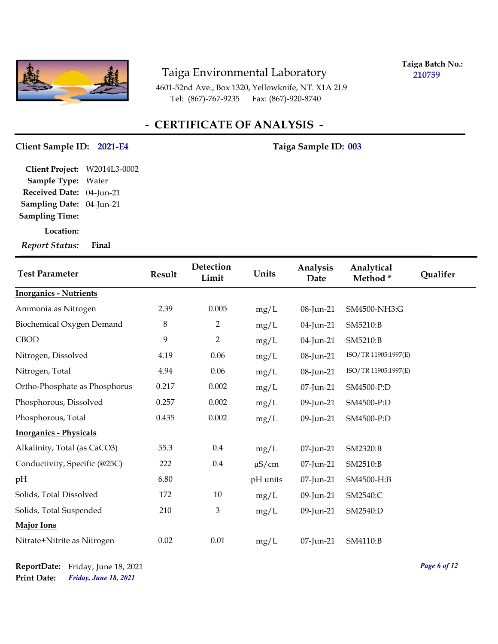

**Taiga Batch No.: 210759**

4601-52nd Ave., Box 1320, Yellowknife, NT. X1A 2L9 Tel: (867)-767-9235 Fax: (867)-920-8740

### **- CERTIFICATE OF ANALYSIS -**

#### Client Sample ID: 2021-E4 Taiga Sample ID: 003

**Sampling Date:** 04-Jun-21 **Received Date:** 04-Jun-21 **Client Project:** W2014L3-0002 **Sample Type:** Water **Sampling Time:**

**Location:**

*Report Status:* **Final**

| <b>Test Parameter</b>         | Result  | Detection<br>Limit | Units      | Analysis<br>Date | Analytical<br>Method* | Qualifer |
|-------------------------------|---------|--------------------|------------|------------------|-----------------------|----------|
| <b>Inorganics - Nutrients</b> |         |                    |            |                  |                       |          |
| Ammonia as Nitrogen           | 2.39    | 0.005              | mg/L       | 08-Jun-21        | SM4500-NH3:G          |          |
| Biochemical Oxygen Demand     | $\,8\,$ | $\overline{2}$     | mg/L       | 04-Jun-21        | SM5210:B              |          |
| <b>CBOD</b>                   | 9       | $\overline{2}$     | mg/L       | 04-Jun-21        | SM5210:B              |          |
| Nitrogen, Dissolved           | 4.19    | 0.06               | mg/L       | 08-Jun-21        | ISO/TR 11905:1997(E)  |          |
| Nitrogen, Total               | 4.94    | 0.06               | mg/L       | 08-Jun-21        | ISO/TR 11905:1997(E)  |          |
| Ortho-Phosphate as Phosphorus | 0.217   | 0.002              | mg/L       | 07-Jun-21        | SM4500-P:D            |          |
| Phosphorous, Dissolved        | 0.257   | 0.002              | mg/L       | 09-Jun-21        | SM4500-P:D            |          |
| Phosphorous, Total            | 0.435   | 0.002              | mg/L       | 09-Jun-21        | SM4500-P:D            |          |
| <b>Inorganics - Physicals</b> |         |                    |            |                  |                       |          |
| Alkalinity, Total (as CaCO3)  | 55.3    | 0.4                | mg/L       | 07-Jun-21        | SM2320:B              |          |
| Conductivity, Specific (@25C) | 222     | 0.4                | $\mu$ S/cm | 07-Jun-21        | SM2510:B              |          |
| pН                            | 6.80    |                    | pH units   | 07-Jun-21        | SM4500-H:B            |          |
| Solids, Total Dissolved       | 172     | 10                 | mg/L       | 09-Jun-21        | SM2540:C              |          |
| Solids, Total Suspended       | 210     | $\mathfrak{Z}$     | mg/L       | 09-Jun-21        | SM2540:D              |          |
| Major Ions                    |         |                    |            |                  |                       |          |
| Nitrate+Nitrite as Nitrogen   | 0.02    | $0.01\,$           | mg/L       | 07-Jun-21        | SM4110:B              |          |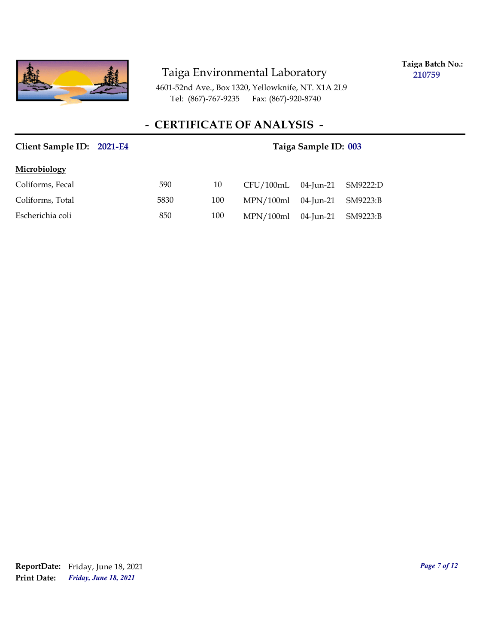

**Taiga Batch No.: 210759**

4601-52nd Ave., Box 1320, Yellowknife, NT. X1A 2L9 Tel: (867)-767-9235 Fax: (867)-920-8740

| Client Sample ID: 2021-E4 | Taiga Sample ID: 003 |     |           |           |          |
|---------------------------|----------------------|-----|-----------|-----------|----------|
| Microbiology              |                      |     |           |           |          |
| Coliforms, Fecal          | 590                  | 10  | CFU/100mL | 04-Jun-21 | SM9222:D |
| Coliforms, Total          | 5830                 | 100 | MPN/100ml | 04-Jun-21 | SM9223:B |
| Escherichia coli          | 850                  | 100 | MPN/100ml | 04-Jun-21 | SM9223:B |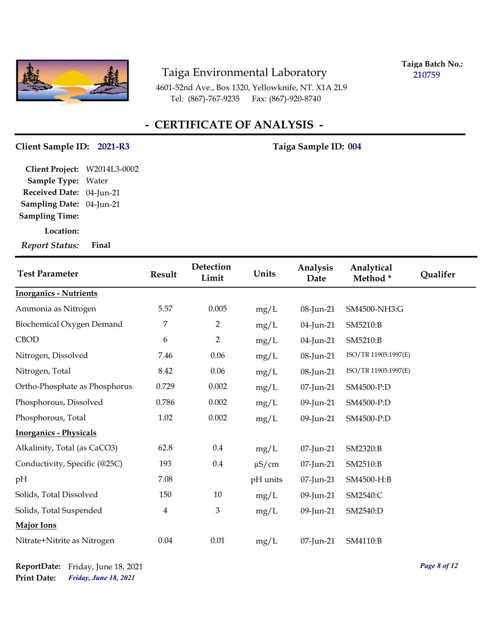

**Taiga Batch No.: 210759**

4601-52nd Ave., Box 1320, Yellowknife, NT. X1A 2L9 Tel: (867)-767-9235 Fax: (867)-920-8740

### **- CERTIFICATE OF ANALYSIS -**

#### Client Sample ID: 2021-R3 Taiga Sample ID: 004

**Sampling Date:** 04-Jun-21 **Received Date:** 04-Jun-21 **Client Project:** W2014L3-0002 **Sample Type:** Water **Sampling Time:**

**Location:**

*Report Status:* **Final**

| <b>Test Parameter</b>         | <b>Result</b>           | Detection<br>Limit | Units      | Analysis<br>Date | Analytical<br>Method* | Qualifer |
|-------------------------------|-------------------------|--------------------|------------|------------------|-----------------------|----------|
| <b>Inorganics - Nutrients</b> |                         |                    |            |                  |                       |          |
| Ammonia as Nitrogen           | 5.57                    | 0.005              | mg/L       | 08-Jun-21        | SM4500-NH3:G          |          |
| Biochemical Oxygen Demand     | 7                       | $\overline{2}$     | mg/L       | 04-Jun-21        | SM5210:B              |          |
| <b>CBOD</b>                   | 6                       | $\overline{2}$     | mg/L       | 04-Jun-21        | SM5210:B              |          |
| Nitrogen, Dissolved           | 7.46                    | 0.06               | mg/L       | 08-Jun-21        | ISO/TR 11905:1997(E)  |          |
| Nitrogen, Total               | 8.42                    | 0.06               | mg/L       | 08-Jun-21        | ISO/TR 11905:1997(E)  |          |
| Ortho-Phosphate as Phosphorus | 0.729                   | 0.002              | mg/L       | 07-Jun-21        | SM4500-P:D            |          |
| Phosphorous, Dissolved        | 0.786                   | 0.002              | mg/L       | 09-Jun-21        | SM4500-P:D            |          |
| Phosphorous, Total            | 1.02                    | 0.002              | mg/L       | 09-Jun-21        | SM4500-P:D            |          |
| <b>Inorganics - Physicals</b> |                         |                    |            |                  |                       |          |
| Alkalinity, Total (as CaCO3)  | 62.8                    | $0.4\,$            | mg/L       | 07-Jun-21        | SM2320:B              |          |
| Conductivity, Specific (@25C) | 193                     | $0.4\,$            | $\mu$ S/cm | 07-Jun-21        | SM2510:B              |          |
| pH                            | 7.08                    |                    | pH units   | 07-Jun-21        | SM4500-H:B            |          |
| Solids, Total Dissolved       | 150                     | 10                 | mg/L       | 09-Jun-21        | SM2540:C              |          |
| Solids, Total Suspended       | $\overline{\mathbf{4}}$ | $\mathfrak{Z}$     | mg/L       | 09-Jun-21        | SM2540:D              |          |
| <b>Major Ions</b>             |                         |                    |            |                  |                       |          |
| Nitrate+Nitrite as Nitrogen   | 0.04                    | $0.01\,$           | mg/L       | 07-Jun-21        | SM4110:B              |          |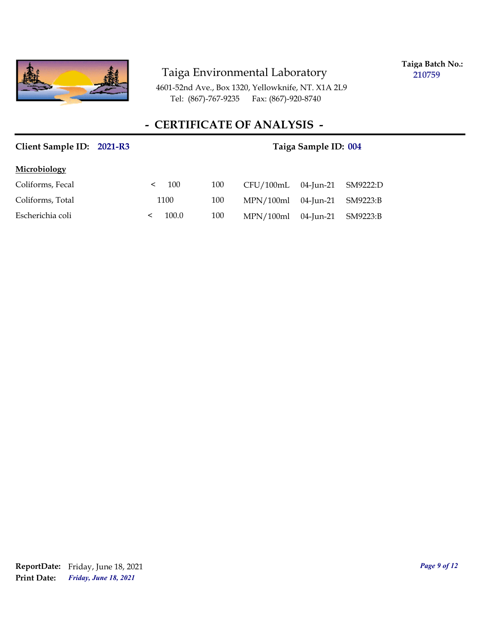

**Taiga Batch No.: 210759**

4601-52nd Ave., Box 1320, Yellowknife, NT. X1A 2L9 Tel: (867)-767-9235 Fax: (867)-920-8740

| Client Sample ID: 2021-R3 | Taiga Sample ID: 004 |     |           |           |          |
|---------------------------|----------------------|-----|-----------|-----------|----------|
| Microbiology              |                      |     |           |           |          |
| Coliforms, Fecal          | 100<br>≺             | 100 | CFU/100mL | 04-Jun-21 | SM9222:D |
| Coliforms, Total          | 1100                 | 100 | MPN/100ml | 04-Jun-21 | SM9223:B |
| Escherichia coli          | 100.0                | 100 | MPN/100ml | 04-Jun-21 | SM9223:B |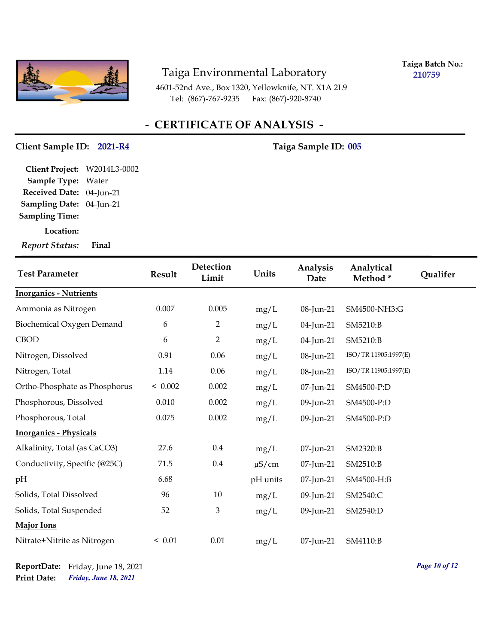

**Taiga Batch No.: 210759**

4601-52nd Ave., Box 1320, Yellowknife, NT. X1A 2L9 Tel: (867)-767-9235 Fax: (867)-920-8740

### **- CERTIFICATE OF ANALYSIS -**

#### Client Sample ID: 2021-R4 Taiga Sample ID: 005

**Sampling Date:** 04-Jun-21 **Received Date:** 04-Jun-21 **Client Project:** W2014L3-0002 **Sample Type:** Water **Sampling Time:**

**Location:**

*Report Status:* **Final**

| <b>Test Parameter</b>         | Result  | Detection<br>Limit | Units      | Analysis<br>Date | Analytical<br>Method* | Qualifer |
|-------------------------------|---------|--------------------|------------|------------------|-----------------------|----------|
| <b>Inorganics - Nutrients</b> |         |                    |            |                  |                       |          |
| Ammonia as Nitrogen           | 0.007   | 0.005              | mg/L       | 08-Jun-21        | SM4500-NH3:G          |          |
| Biochemical Oxygen Demand     | 6       | $\overline{2}$     | mg/L       | 04-Jun-21        | SM5210:B              |          |
| <b>CBOD</b>                   | 6       | $\overline{2}$     | mg/L       | 04-Jun-21        | SM5210:B              |          |
| Nitrogen, Dissolved           | 0.91    | 0.06               | mg/L       | 08-Jun-21        | ISO/TR 11905:1997(E)  |          |
| Nitrogen, Total               | 1.14    | 0.06               | mg/L       | 08-Jun-21        | ISO/TR 11905:1997(E)  |          |
| Ortho-Phosphate as Phosphorus | < 0.002 | 0.002              | mg/L       | $07$ -Jun-21     | SM4500-P:D            |          |
| Phosphorous, Dissolved        | 0.010   | 0.002              | mg/L       | 09-Jun-21        | SM4500-P:D            |          |
| Phosphorous, Total            | 0.075   | 0.002              | mg/L       | 09-Jun-21        | SM4500-P:D            |          |
| <b>Inorganics - Physicals</b> |         |                    |            |                  |                       |          |
| Alkalinity, Total (as CaCO3)  | 27.6    | $0.4\,$            | mg/L       | 07-Jun-21        | SM2320:B              |          |
| Conductivity, Specific (@25C) | 71.5    | $0.4\,$            | $\mu$ S/cm | 07-Jun-21        | SM2510:B              |          |
| pН                            | 6.68    |                    | pH units   | 07-Jun-21        | SM4500-H:B            |          |
| Solids, Total Dissolved       | 96      | 10                 | mg/L       | 09-Jun-21        | SM2540:C              |          |
| Solids, Total Suspended       | 52      | $\mathfrak{Z}$     | mg/L       | 09-Jun-21        | SM2540:D              |          |
| Major Ions                    |         |                    |            |                  |                       |          |
| Nitrate+Nitrite as Nitrogen   | < 0.01  | 0.01               | mg/L       | 07-Jun-21        | SM4110:B              |          |

*Page 10 of 12*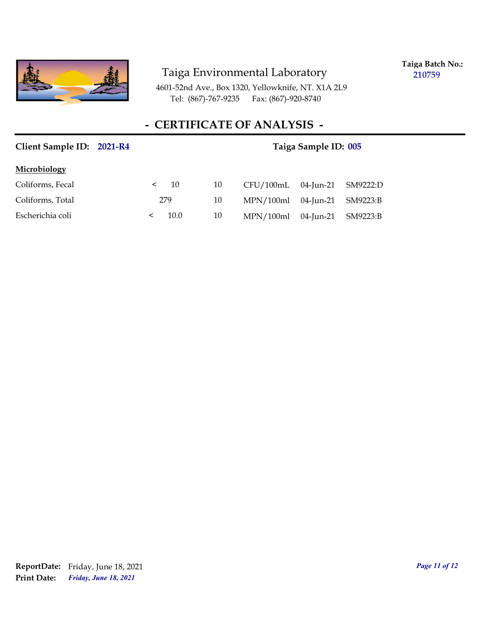

**Taiga Batch No.: 210759**

4601-52nd Ave., Box 1320, Yellowknife, NT. X1A 2L9 Tel: (867)-767-9235 Fax: (867)-920-8740

| Client Sample ID: 2021-R4 | Taiga Sample ID: 005 |    |           |           |          |
|---------------------------|----------------------|----|-----------|-----------|----------|
| Microbiology              |                      |    |           |           |          |
| Coliforms, Fecal          | 10<br>$\,<\,$        | 10 | CFU/100mL | 04-Jun-21 | SM9222:D |
| Coliforms, Total          | 279                  | 10 | MPN/100ml | 04-Jun-21 | SM9223:B |
| Escherichia coli          | 10.0                 | 10 | MPN/100ml | 04-Jun-21 | SM9223:B |